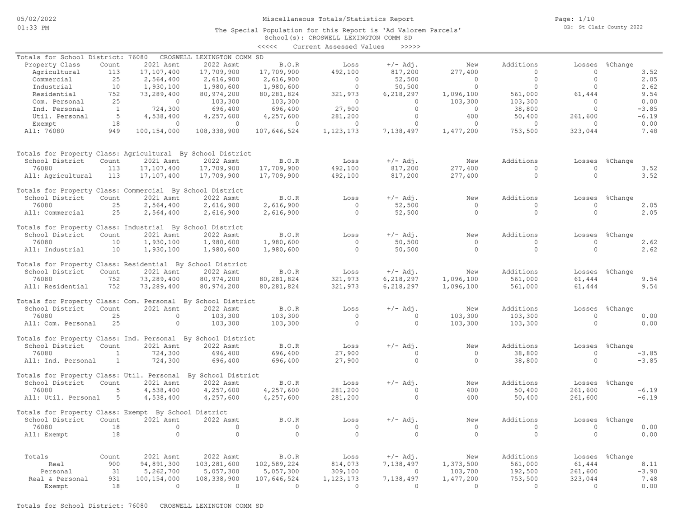Page: 1/10 DB: St Clair County 2022

### School(s): CROSWELL LEXINGTON COMM SD The Special Population for this Report is 'Ad Valorem Parcels'

|                                                             |                |             |                            | <<<<         | Current Assessed Values | >>>>>      |           |           |          |                |
|-------------------------------------------------------------|----------------|-------------|----------------------------|--------------|-------------------------|------------|-----------|-----------|----------|----------------|
| Totals for School District: 76080                           |                |             | CROSWELL LEXINGTON COMM SD |              |                         |            |           |           |          |                |
| Property Class                                              | Count          | 2021 Asmt   | 2022 Asmt                  | B.O.R        | Loss                    | $+/-$ Adj. | New       | Additions | Losses   | %Change        |
| Agricultural                                                | 113            | 17,107,400  | 17,709,900                 | 17,709,900   | 492,100                 | 817,200    | 277,400   | $\circ$   | $\circ$  | 3.52           |
| Commercial                                                  | 25             | 2,564,400   | 2,616,900                  | 2,616,900    | $\circ$                 | 52,500     | $\circ$   | $\circ$   | $\circ$  | 2.05           |
| Industrial                                                  | 10             | 1,930,100   | 1,980,600                  | 1,980,600    | $\circ$                 | 50,500     | $\circ$   | $\circ$   | $\Omega$ | 2.62           |
| Residential                                                 | 752            | 73,289,400  | 80,974,200                 | 80,281,824   | 321,973                 | 6,218,297  | 1,096,100 | 561,000   | 61,444   | 9.54           |
| Com. Personal                                               | 25             | $\circ$     | 103,300                    | 103,300      | $\circ$                 | $\circ$    | 103,300   | 103,300   | $\circ$  | 0.00           |
| Ind. Personal                                               | $\overline{1}$ | 724,300     | 696,400                    | 696,400      | 27,900                  | $\circ$    | $\circ$   | 38,800    | $\Omega$ | $-3.85$        |
| Util. Personal                                              | 5              | 4,538,400   | 4,257,600                  | 4,257,600    | 281,200                 | $\circ$    | 400       | 50,400    | 261,600  | $-6.19$        |
| Exempt                                                      | 18             | $\Omega$    | $\Omega$                   | $\Omega$     | $\Omega$                | $\circ$    | $\Omega$  | $\Omega$  | $\Omega$ | 0.00           |
| All: 76080                                                  | 949            | 100,154,000 | 108,338,900                | 107,646,524  | 1,123,173               | 7,138,497  | 1,477,200 | 753,500   | 323,044  | 7.48           |
| Totals for Property Class: Agricultural By School District  |                |             |                            |              |                         |            |           |           |          |                |
| School District                                             | Count          | 2021 Asmt   | 2022 Asmt                  | B.O.R        | Loss                    | $+/-$ Adj. | New       | Additions | Losses   | %Change        |
| 76080                                                       | 113            | 17,107,400  | 17,709,900                 | 17,709,900   | 492,100                 | 817,200    | 277,400   | $\Omega$  | $\circ$  | 3.52           |
|                                                             | 113            |             |                            | 17,709,900   | 492,100                 | 817,200    |           | $\circ$   | $\circ$  | 3.52           |
| All: Agricultural                                           |                | 17,107,400  | 17,709,900                 |              |                         |            | 277,400   |           |          |                |
| Totals for Property Class: Commercial By School District    |                |             |                            |              |                         |            |           |           |          |                |
| School District                                             | Count          | 2021 Asmt   | 2022 Asmt                  | <b>B.O.R</b> | Loss                    | $+/-$ Adj. | New       | Additions | Losses   | %Change        |
| 76080                                                       | 25             | 2,564,400   | 2,616,900                  | 2,616,900    | $\circ$                 | 52,500     | $\circ$   | $\Omega$  | $\circ$  | 2.05           |
| All: Commercial                                             | 25             | 2,564,400   | 2,616,900                  | 2,616,900    | $\Omega$                | 52,500     | $\Omega$  | $\Omega$  | $\Omega$ | 2.05           |
| Totals for Property Class: Industrial By School District    |                |             |                            |              |                         |            |           |           |          |                |
| School District                                             | Count          | 2021 Asmt   | 2022 Asmt                  | B.O.R        | Loss                    | $+/-$ Adj. | New       | Additions | Losses   | %Change        |
| 76080                                                       | 10             | 1,930,100   | 1,980,600                  | 1,980,600    | $\circ$                 | 50,500     | $\circ$   | $\Omega$  | $\circ$  | 2.62           |
| All: Industrial                                             | 10             | 1,930,100   | 1,980,600                  | 1,980,600    | $\circ$                 | 50, 500    | $\circ$   | $\circ$   | $\circ$  | 2.62           |
| Totals for Property Class: Residential By School District   |                |             |                            |              |                         |            |           |           |          |                |
| School District                                             | Count          | 2021 Asmt   | 2022 Asmt                  | B.O.R        | Loss                    | $+/-$ Adj. | New       | Additions |          | Losses %Change |
| 76080                                                       | 752            | 73,289,400  | 80, 974, 200               | 80,281,824   | 321,973                 | 6,218,297  | 1,096,100 | 561,000   | 61,444   | 9.54           |
| All: Residential                                            | 752            | 73,289,400  | 80,974,200                 | 80, 281, 824 | 321,973                 | 6,218,297  | 1,096,100 | 561,000   | 61,444   | 9.54           |
|                                                             |                |             |                            |              |                         |            |           |           |          |                |
| Totals for Property Class: Com. Personal By School District |                |             |                            |              |                         |            |           |           |          |                |
| School District                                             | Count          | 2021 Asmt   | 2022 Asmt                  | B.O.R        | Loss                    | $+/-$ Adj. | New       | Additions | Losses   | %Change        |
| 76080                                                       | 25             | $\circ$     | 103,300                    | 103,300      | $\circ$                 | $\circ$    | 103,300   | 103,300   | $\circ$  | 0.00           |
| All: Com. Personal                                          | 25             | $\circ$     | 103,300                    | 103,300      | $\Omega$                | $\circ$    | 103,300   | 103,300   | $\Omega$ | 0.00           |
| Totals for Property Class: Ind. Personal By School District |                |             |                            |              |                         |            |           |           |          |                |
| School District                                             | Count          | 2021 Asmt   | 2022 Asmt                  | B.O.R        | Loss                    | $+/-$ Adj. | New       | Additions | Losses   | %Change        |
| 76080                                                       | $\overline{1}$ | 724,300     | 696,400                    | 696,400      | 27,900                  | $\circ$    | $\circ$   | 38,800    | $\Omega$ | $-3.85$        |
| All: Ind. Personal                                          | $\mathbf{1}$   | 724,300     | 696,400                    | 696,400      | 27,900                  | $\Omega$   | $\Omega$  | 38,800    | $\Omega$ | $-3.85$        |
| Totals for Property Class: Util. Personal                   |                |             | By School District         |              |                         |            |           |           |          |                |
| School District                                             | Count          | 2021 Asmt   | 2022 Asmt                  | B.O.R        | Loss                    | $+/-$ Adj. | New       | Additions | Losses   | %Change        |
| 76080                                                       | 5              | 4,538,400   | 4,257,600                  | 4,257,600    | 281,200                 | $\circ$    | 400       | 50,400    | 261,600  | $-6.19$        |
|                                                             | 5              |             |                            |              |                         | $\circ$    | 400       |           |          | $-6.19$        |
| All: Util. Personal                                         |                | 4,538,400   | 4,257,600                  | 4,257,600    | 281,200                 |            |           | 50,400    | 261,600  |                |
| Totals for Property Class: Exempt By School District        |                |             |                            |              |                         |            |           |           |          |                |
| School District                                             | Count          | 2021 Asmt   | 2022 Asmt                  | B.O.R        | Loss                    | $+/-$ Adj. | New       | Additions | Losses   | %Change        |
| 76080                                                       | 18             | $\circ$     | $\circ$                    | $\circ$      | $\circ$                 | $\circ$    | $\circ$   | $\circ$   | $\circ$  | 0.00           |
| All: Exempt                                                 | 18             | $\circ$     | $\circ$                    | $\circ$      | $\Omega$                | $\circ$    | $\Omega$  | $\circ$   | $\circ$  | 0.00           |
|                                                             |                |             |                            |              |                         |            |           |           |          |                |
| Totals                                                      | Count          | 2021 Asmt   | 2022 Asmt                  | B.O.R        | Loss                    | $+/-$ Adj. | New       | Additions |          | Losses %Change |
| Real                                                        | 900            | 94,891,300  | 103,281,600                | 102,589,224  | 814,073                 | 7,138,497  | 1,373,500 | 561,000   | 61,444   | 8.11           |
| Personal                                                    | 31             | 5,262,700   | 5,057,300                  | 5,057,300    | 309,100                 | $\circ$    | 103,700   | 192,500   | 261,600  | $-3.90$        |
| Real & Personal                                             | 931            | 100,154,000 | 108,338,900                | 107,646,524  | 1, 123, 173             | 7,138,497  | 1,477,200 | 753,500   | 323,044  | 7.48           |
| Exempt                                                      | 18             | $\circ$     | $\overline{0}$             | $\circ$      | $\circ$                 | $\circ$    | $\circ$   | $\circ$   | $\circ$  | 0.00           |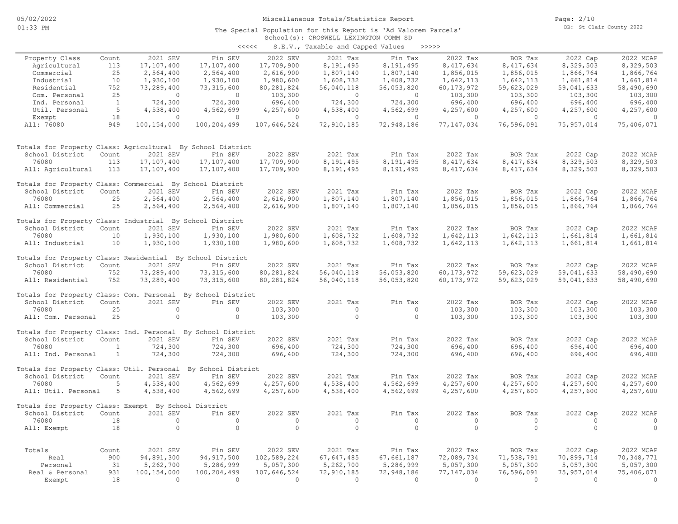#### School(s): CROSWELL LEXINGTON COMM SD The Special Population for this Report is 'Ad Valorem Parcels'

| <<<< | S.E.V., Taxable and Capped Values |  |  |  | >>>>> |
|------|-----------------------------------|--|--|--|-------|
|------|-----------------------------------|--|--|--|-------|

|                                                              |              |                         |                           |                          | $5.2.77$ candidate and capped |                         |                         |                         |                         |                         |
|--------------------------------------------------------------|--------------|-------------------------|---------------------------|--------------------------|-------------------------------|-------------------------|-------------------------|-------------------------|-------------------------|-------------------------|
| Property Class                                               | Count        | 2021 SEV                | Fin SEV                   | 2022 SEV                 | 2021 Tax                      | Fin Tax                 | 2022 Tax                | BOR Tax                 | 2022 Cap                | 2022 MCAP               |
| Agricultural                                                 | 113          | 17,107,400              | 17,107,400                | 17,709,900               | 8,191,495                     | 8,191,495               | 8,417,634               | 8,417,634               | 8,329,503               | 8,329,503               |
| Commercial                                                   | 25           | 2,564,400               | 2,564,400                 | 2,616,900                | 1,807,140                     | 1,807,140               | 1,856,015               | 1,856,015               | 1,866,764               | 1,866,764               |
| Industrial                                                   | 10           | 1,930,100               | 1,930,100                 | 1,980,600                | 1,608,732                     | 1,608,732               | 1,642,113               | 1,642,113               | 1,661,814               | 1,661,814               |
| Residential                                                  | 752          | 73,289,400              | 73, 315, 600              | 80,281,824               | 56,040,118                    | 56,053,820              | 60, 173, 972            | 59,623,029              | 59,041,633              | 58,490,690              |
| Com. Personal                                                | 25           | $\Omega$                | $\circ$                   | 103,300                  | $\Omega$                      | $\circ$                 | 103,300                 | 103,300                 | 103,300                 | 103,300                 |
| Ind. Personal                                                | $\mathbf{1}$ | 724,300                 | 724,300                   | 696,400                  | 724,300                       | 724,300                 | 696,400                 | 696,400                 | 696,400                 | 696,400                 |
| Util. Personal                                               | 5            | 4,538,400               | 4,562,699                 | 4,257,600                | 4,538,400                     | 4,562,699               | 4,257,600               | 4,257,600               | 4,257,600               | 4,257,600               |
| Exempt                                                       | 18           | $\circ$                 | $\overline{0}$            | $\circ$                  | $\circ$                       | $\circ$                 | $\overline{0}$          | $\circ$                 | $\overline{0}$          | $\circ$                 |
| All: 76080                                                   | 949          | 100,154,000             | 100,204,499               | 107,646,524              | 72,910,185                    | 72,948,186              | 77,147,034              | 76,596,091              | 75, 957, 014            | 75,406,071              |
| Totals for Property Class: Agricultural By School District   |              |                         |                           |                          |                               |                         |                         |                         |                         |                         |
| School District                                              | Count        | 2021 SEV                | Fin SEV                   | 2022 SEV                 | 2021 Tax                      | Fin Tax                 | 2022 Tax                | BOR Tax                 | 2022 Cap                | 2022 MCAP               |
| 76080                                                        | 113          | 17,107,400              | 17,107,400                | 17,709,900               | 8,191,495                     | 8,191,495               | 8,417,634               | 8, 417, 634             | 8,329,503               | 8,329,503               |
| All: Agricultural                                            | 113          | 17,107,400              | 17,107,400                | 17,709,900               | 8,191,495                     | 8,191,495               | 8,417,634               | 8,417,634               | 8,329,503               | 8,329,503               |
| Totals for Property Class: Commercial By School District     |              |                         |                           |                          |                               |                         |                         |                         |                         |                         |
| School District                                              | Count        | 2021 SEV                | Fin SEV                   | 2022 SEV                 | 2021 Tax                      | Fin Tax                 | 2022 Tax                | BOR Tax                 | 2022 Cap                | 2022 MCAP               |
| 76080                                                        | 25           | 2,564,400               | 2,564,400                 | 2,616,900                | 1,807,140                     | 1,807,140               | 1,856,015               | 1,856,015               | 1,866,764               | 1,866,764               |
| All: Commercial                                              | 25           | 2,564,400               | 2,564,400                 | 2,616,900                | 1,807,140                     | 1,807,140               | 1,856,015               | 1,856,015               | 1,866,764               | 1,866,764               |
| Totals for Property Class: Industrial By School District     |              |                         |                           |                          |                               |                         |                         |                         |                         |                         |
| School District                                              | Count        | 2021 SEV                | Fin SEV                   | 2022 SEV                 | 2021 Tax                      | Fin Tax                 | 2022 Tax                | BOR Tax                 | 2022 Cap                | 2022 MCAP               |
| 76080                                                        | 10           | 1,930,100               | 1,930,100                 | 1,980,600                | 1,608,732                     | 1,608,732               | 1,642,113               | 1,642,113               | 1,661,814               | 1,661,814               |
| All: Industrial                                              | 10           | 1,930,100               | 1,930,100                 | 1,980,600                | 1,608,732                     | 1,608,732               | 1,642,113               | 1,642,113               | 1,661,814               | 1,661,814               |
| Totals for Property Class: Residential By School District    |              |                         |                           |                          |                               |                         |                         |                         |                         |                         |
| School District                                              | Count        | 2021 SEV                | Fin SEV                   | 2022 SEV                 | 2021 Tax                      | Fin Tax                 | 2022 Tax                | BOR Tax                 | 2022 Cap                | 2022 MCAP               |
| 76080                                                        | 752          | 73,289,400              | 73,315,600                | 80,281,824               | 56,040,118                    | 56,053,820              | 60, 173, 972            | 59,623,029              | 59,041,633              | 58,490,690              |
| All: Residential                                             | 752          | 73,289,400              | 73, 315, 600              | 80, 281, 824             | 56,040,118                    | 56,053,820              | 60, 173, 972            | 59,623,029              | 59,041,633              | 58,490,690              |
| Totals for Property Class: Com. Personal By School District  |              |                         |                           |                          |                               |                         |                         |                         |                         |                         |
| School District                                              | Count        | 2021 SEV                | Fin SEV                   | 2022 SEV                 | 2021 Tax                      | Fin Tax                 | 2022 Tax                | BOR Tax                 | 2022 Cap                | 2022 MCAP               |
| 76080                                                        | 25           | $\circ$                 | $\Omega$                  | 103,300                  | $\Omega$                      | $\circ$                 | 103,300                 | 103,300                 | 103,300                 | 103,300                 |
| All: Com. Personal                                           | 25           | $\circ$                 | $\circ$                   | 103,300                  | $\circ$                       | $\circ$                 | 103,300                 | 103,300                 | 103,300                 | 103,300                 |
| Totals for Property Class: Ind. Personal By School District  |              |                         |                           |                          |                               |                         |                         |                         |                         |                         |
| School District                                              | Count        | 2021 SEV                | Fin SEV                   | 2022 SEV                 | 2021 Tax                      | Fin Tax                 | 2022 Tax                | BOR Tax                 | 2022 Cap                | 2022 MCAP               |
| 76080                                                        | <sup>1</sup> | 724,300                 | 724,300                   | 696,400                  | 724,300                       | 724,300                 | 696,400                 | 696,400                 | 696,400                 | 696,400                 |
| All: Ind. Personal                                           | $\mathbf{1}$ | 724,300                 | 724,300                   | 696,400                  | 724,300                       | 724,300                 | 696,400                 | 696,400                 | 696,400                 | 696,400                 |
| Totals for Property Class: Util. Personal By School District |              |                         |                           |                          |                               |                         |                         |                         |                         |                         |
| School District                                              | Count        | 2021 SEV                | Fin SEV                   | 2022 SEV                 | 2021 Tax                      | Fin Tax                 | 2022 Tax                | BOR Tax                 | 2022 Cap                | 2022 MCAP               |
| 76080                                                        | 5            | 4,538,400               | 4,562,699                 | 4,257,600                | 4,538,400                     | 4,562,699               | 4,257,600               | 4,257,600               | 4,257,600               | 4,257,600               |
| All: Util. Personal                                          | 5            | 4,538,400               | 4,562,699                 | 4,257,600                | 4,538,400                     | 4,562,699               | 4,257,600               | 4,257,600               | 4,257,600               | 4,257,600               |
| Totals for Property Class: Exempt By School District         |              |                         |                           |                          |                               |                         |                         |                         |                         |                         |
| School District                                              | Count        | 2021 SEV                | Fin SEV                   | 2022 SEV                 | 2021 Tax                      | Fin Tax                 | 2022 Tax                | BOR Tax                 | 2022 Cap                | 2022 MCAP               |
| 76080                                                        | 18           | $\circ$                 | $\circ$                   | $\circ$                  | $\circ$                       | $\circ$                 | $\circ$                 | $\circ$                 | $\circ$                 | $\circ$                 |
| All: Exempt                                                  | 18           | $\circ$                 | $\circ$                   | $\circ$                  | $\circ$                       | $\circ$                 | $\Omega$                | $\circ$                 | $\Omega$                | $\circ$                 |
|                                                              |              |                         |                           |                          |                               |                         |                         |                         |                         |                         |
| Totals                                                       | Count        | 2021 SEV                | Fin SEV                   | 2022 SEV                 | 2021 Tax                      | Fin Tax                 | 2022 Tax                | BOR Tax                 | 2022 Cap                | 2022 MCAP               |
| Real<br>Personal                                             | 900<br>31    | 94,891,300<br>5,262,700 | 94, 917, 500<br>5,286,999 | 102,589,224<br>5,057,300 | 67,647,485                    | 67,661,187<br>5,286,999 | 72,089,734<br>5,057,300 | 71,538,791<br>5,057,300 | 70,899,714              | 70,348,771<br>5,057,300 |
| Real & Personal                                              | 931          | 100,154,000             | 100,204,499               | 107,646,524              | 5,262,700<br>72,910,185       | 72,948,186              | 77, 147, 034            | 76,596,091              | 5,057,300<br>75,957,014 | 75,406,071              |
| Exempt                                                       | 18           | $\bigcirc$              | $\bigcirc$                | $\bigcirc$               | $\bigcirc$                    | $\Omega$                | $\Omega$                | $\overline{0}$          | $\bigcirc$              | $\Omega$                |
|                                                              |              |                         |                           |                          |                               |                         |                         |                         |                         |                         |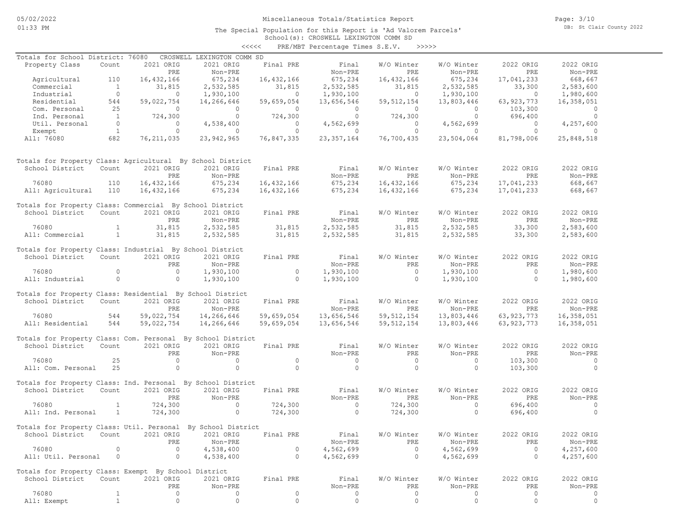The Special Population for this Report is 'Ad Valorem Parcels'

Page: 3/10 DB: St Clair County 2022

#### School(s): CROSWELL LEXINGTON COMM SD <<<<< PRE/MBT Percentage Times S.E.V. >>>>>

| Totals for School District: 76080                                       |                |                  | CROSWELL LEXINGTON COMM SD |              |                           |                   |                    |                |                     |
|-------------------------------------------------------------------------|----------------|------------------|----------------------------|--------------|---------------------------|-------------------|--------------------|----------------|---------------------|
| Property Class                                                          | Count          | 2021 ORIG        | 2021 ORIG                  | Final PRE    | Final                     | W/O Winter        | W/O Winter         | 2022 ORIG      | 2022 ORIG           |
|                                                                         |                | PRE              | Non-PRE                    |              | Non-PRE                   | PRE               | Non-PRE            | PRE            | Non-PRE             |
| Agricultural                                                            | 110            | 16, 432, 166     | 675,234                    | 16, 432, 166 | 675,234                   | 16, 432, 166      | 675,234            | 17,041,233     | 668,667             |
| Commercial                                                              | $\mathbf{1}$   | 31,815           | 2,532,585                  | 31,815       | 2,532,585                 | 31,815            | 2,532,585          | 33,300         | 2,583,600           |
| Industrial                                                              | $\overline{0}$ | $\circ$          | 1,930,100                  | $\circ$      | 1,930,100                 | $\circ$           | 1,930,100          | $\overline{0}$ | 1,980,600           |
| Residential                                                             | 544            | 59,022,754       | 14,266,646                 | 59,659,054   | 13,656,546                | 59, 512, 154      | 13,803,446         | 63, 923, 773   | 16,358,051          |
| Com. Personal                                                           | 25             | $\Omega$         | $\circ$                    | $\circ$      | $\circ$                   | $\circ$           | $\circ$            | 103,300        | $\overline{0}$      |
| Ind. Personal                                                           | $\overline{1}$ | 724,300          | $\overline{0}$             | 724,300      | $\circ$                   | 724,300           | $\circ$            | 696,400        | $\overline{0}$      |
| Util. Personal                                                          | $\overline{0}$ | $\overline{0}$   | 4,538,400                  | $\circ$      | 4,562,699                 | $\overline{0}$    | 4,562,699          | $\overline{0}$ | 4,257,600           |
| Exempt                                                                  | $\overline{1}$ | $\circ$          | $\overline{0}$             | $\circ$      | $\overline{0}$            | $\circ$           | $\overline{0}$     | $\circ$        | $\Omega$            |
| All: 76080                                                              | 682            | 76, 211, 035     | 23,942,965                 | 76,847,335   | 23, 357, 164              | 76,700,435        | 23,504,064         | 81,798,006     | 25,848,518          |
| Totals for Property Class: Agricultural By School District              |                |                  |                            |              |                           |                   |                    |                |                     |
| School District                                                         | Count          | 2021 ORIG        | 2021 ORIG                  | Final PRE    | Final                     | W/O Winter        | W/O Winter         | 2022 ORIG      | 2022 ORIG           |
|                                                                         |                | PRE              | Non-PRE                    |              | Non-PRE                   | <b>PRE</b>        | Non-PRE            | PRE            | Non-PRE             |
| 76080                                                                   | 110            | 16,432,166       | 675,234                    | 16, 432, 166 | 675,234                   | 16,432,166        | 675,234            | 17,041,233     | 668,667             |
| All: Agricultural                                                       | 110            | 16,432,166       | 675,234                    | 16,432,166   | 675,234                   | 16, 432, 166      | 675,234            | 17,041,233     | 668,667             |
| Totals for Property Class: Commercial By School District                |                |                  |                            |              |                           |                   |                    |                |                     |
| School District                                                         | Count          | 2021 ORIG        | 2021 ORIG                  | Final PRE    | Final                     | W/O Winter        | W/O Winter         | 2022 ORIG      | 2022 ORIG           |
|                                                                         |                | PRE              | Non-PRE                    |              | Non-PRE                   | PRE               | Non-PRE            | PRE            | Non-PRE             |
| 76080                                                                   | <sup>1</sup>   | 31,815           | 2,532,585                  | 31,815       | 2,532,585                 | 31,815            | 2,532,585          | 33,300         | 2,583,600           |
| All: Commercial                                                         | 1              | 31,815           | 2,532,585                  | 31,815       | 2,532,585                 | 31,815            | 2,532,585          | 33,300         | 2,583,600           |
| Totals for Property Class: Industrial By School District                |                |                  |                            |              |                           |                   |                    |                |                     |
| School District                                                         | Count          | 2021 ORIG        | 2021 ORIG                  | Final PRE    | Final                     | W/O Winter        | W/O Winter         | 2022 ORIG      | 2022 ORIG           |
|                                                                         |                | PRE              | Non-PRE                    |              | Non-PRE                   | <b>PRE</b>        | Non-PRE            | <b>PRE</b>     | Non-PRE             |
| 76080                                                                   | $\circ$        | $\circ$          | 1,930,100                  | $\circ$      | 1,930,100                 | $\overline{0}$    | 1,930,100          | $\overline{0}$ | 1,980,600           |
| All: Industrial                                                         | $\circ$        | $\circ$          | 1,930,100                  | $\circ$      | 1,930,100                 | $\circ$           | 1,930,100          | $\Omega$       | 1,980,600           |
| Totals for Property Class: Residential By School District               |                |                  |                            |              |                           |                   |                    |                |                     |
| School District                                                         | Count          | 2021 ORIG        | 2021 ORIG                  | Final PRE    | Final                     | W/O Winter        | W/O Winter         | 2022 ORIG      | 2022 ORIG           |
|                                                                         |                | PRE              | Non-PRE                    |              | Non-PRE                   | PRE               | Non-PRE            | PRE            | Non-PRE             |
| 76080                                                                   | 544            | 59,022,754       | 14,266,646                 | 59,659,054   | 13,656,546                | 59, 512, 154      | 13,803,446         | 63, 923, 773   | 16,358,051          |
| All: Residential                                                        | 544            | 59,022,754       | 14,266,646                 | 59,659,054   | 13,656,546                | 59, 512, 154      | 13,803,446         | 63, 923, 773   | 16,358,051          |
|                                                                         |                |                  |                            |              |                           |                   |                    |                |                     |
| Totals for Property Class: Com. Personal By School District             |                |                  |                            |              |                           |                   |                    |                |                     |
| School District                                                         | Count          | 2021 ORIG<br>PRE | 2021 ORIG                  | Final PRE    | Final                     | W/O Winter<br>PRE | W/O Winter         | 2022 ORIG      | 2022 ORIG           |
| 76080                                                                   |                | $\circ$          | Non-PRE<br>$\circ$         | $\circ$      | Non-PRE<br>$\overline{0}$ | $\circ$           | Non-PRE<br>$\circ$ | PRE            | Non-PRE<br>$\sim$ 0 |
|                                                                         | 25             | $\circ$          | $\circ$                    | $\Omega$     | $\circ$                   | $\circ$           | $\circ$            | 103,300        | $\circ$             |
| All: Com. Personal                                                      | 25             |                  |                            |              |                           |                   |                    | 103,300        |                     |
| Totals for Property Class: Ind. Personal By School District             |                |                  |                            |              |                           |                   |                    |                |                     |
| School District                                                         | Count          | 2021 ORIG        | 2021 ORIG                  | Final PRE    | Final                     | W/O Winter        | W/O Winter         | 2022 ORIG      | 2022 ORIG           |
|                                                                         |                | PRE              | Non-PRE                    |              | Non-PRE                   | PRE               | Non-PRE            | PRE            | Non-PRE             |
| 76080                                                                   | $\mathbf{1}$   | 724,300          | $\circ$                    | 724,300      | $\circ$                   | 724,300           | $\circ$            | 696,400        | $\overline{0}$      |
| All: Ind. Personal                                                      | $\mathbf{1}$   | 724,300          | $\circ$                    | 724,300      | $\Omega$                  | 724,300           | $\Omega$           | 696,400        | $\Omega$            |
| Totals for Property Class: Util. Personal By School District            |                |                  |                            |              |                           |                   |                    |                |                     |
| School District Count 2021 ORIG 2021 ORIG Final PRE                     |                |                  |                            |              | Final                     | W/O Winter        | W/O Winter         | 2022 ORIG      | 2022 ORIG           |
|                                                                         |                | PRE              | Non-PRE                    |              | Non-PRE                   | PRE               | Non-PRE            | PRE            | Non-PRE             |
| 76080                                                                   | 0              | $\circ$          | 4,538,400                  | $\circ$      | 4,562,699                 | $\circ$           | 4,562,699          | $\circ$        | 4,257,600           |
| All: Util. Personal                                                     | $\circ$        | $\circ$          | 4,538,400                  | $\circ$      | 4,562,699                 | $\circ$           | 4,562,699          | $\circ$        | 4,257,600           |
|                                                                         |                |                  |                            |              |                           |                   |                    |                |                     |
| Totals for Property Class: Exempt By School District<br>School District | Count          | 2021 ORIG        | 2021 ORIG                  | Final PRE    | Final                     | W/O Winter        | W/O Winter         | 2022 ORIG      | 2022 ORIG           |
|                                                                         |                | PRE              | Non-PRE                    |              | Non-PRE                   | PRE               | Non-PRE            | PRE            | Non-PRE             |
| 76080                                                                   | $\mathbf{1}$   | $\circ$          | 0                          | $\circ$      | 0                         | $\circ$           | 0                  | 0              | 0                   |
| All: Exempt                                                             | $\mathbf{1}$   | $\circ$          | $\circ$                    | $\circ$      | $\circ$                   | $\circ$           | $\circ$            | $\circ$        | $\circ$             |
|                                                                         |                |                  |                            |              |                           |                   |                    |                |                     |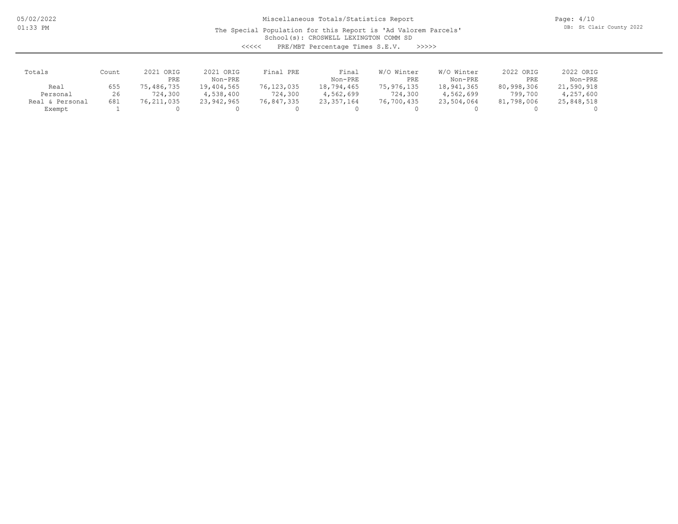The Special Population for this Report is 'Ad Valorem Parcels'

Page: 4/10 DB: St Clair County 2022

School(s): CROSWELL LEXINGTON COMM SD

<<<<< PRE/MBT Percentage Times S.E.V. >>>>>

| Totals             | Count | 2021 ORIG    | 2021 ORIG  | Final PRE  | Final        | W/O Winter | W/O Winter | 2022 ORIG<br>PRE | 2022 ORIG<br>Non-PRE |
|--------------------|-------|--------------|------------|------------|--------------|------------|------------|------------------|----------------------|
|                    |       | PRE          | Non-PRE    |            | Non-PRE      | PRE        | Non-PRE    |                  |                      |
| Real               | 655   | 75,486,735   | 19,404,565 | 76,123,035 | 18,794,465   | 75,976,135 | 18,941,365 | 80,998,306       | 21,590,918           |
| Personal           | 26    | 724,300      | 4,538,400  | 724,300    | 4,562,699    | 724,300    | 4,562,699  | 799,700          | 4,257,600            |
| & Personal<br>Real | 681   | 76, 211, 035 | 23,942,965 | 76,847,335 | 23, 357, 164 | 76,700,435 | 23,504,064 | 81,798,006       | 25,848,518           |
| Exempt             |       |              |            |            |              |            |            |                  |                      |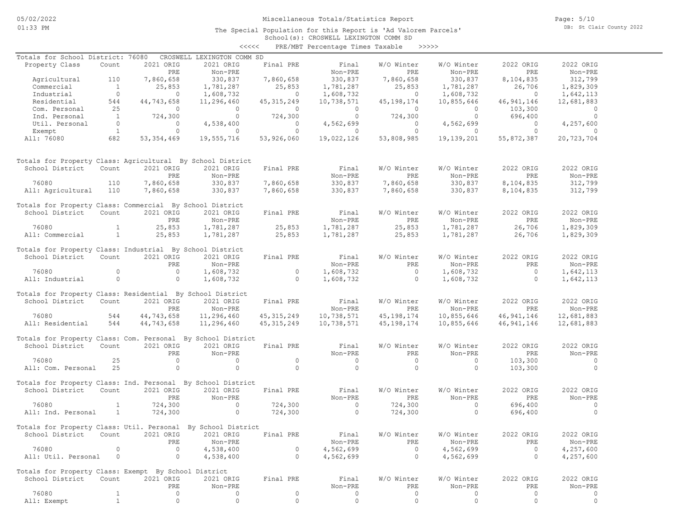The Special Population for this Report is 'Ad Valorem Parcels'

Page: 5/10 DB: St Clair County 2022

#### School(s): CROSWELL LEXINGTON COMM SD <<<<< PRE/MBT Percentage Times Taxable >>>>>

| Totals for School District: 76080                            |                |              | CROSWELL LEXINGTON COMM SD |              |                |              |              |                |            |
|--------------------------------------------------------------|----------------|--------------|----------------------------|--------------|----------------|--------------|--------------|----------------|------------|
| Property Class                                               | Count          | 2021 ORIG    | 2021 ORIG                  | Final PRE    | Final          | W/O Winter   | W/O Winter   | 2022 ORIG      | 2022 ORIG  |
|                                                              |                | PRE          | Non-PRE                    |              | Non-PRE        | PRE          | Non-PRE      | PRE            | Non-PRE    |
| Agricultural                                                 | 110            | 7,860,658    | 330,837                    | 7,860,658    | 330,837        | 7,860,658    | 330,837      | 8,104,835      | 312,799    |
| Commercial                                                   | $\overline{1}$ | 25,853       | 1,781,287                  | 25,853       | 1,781,287      | 25,853       | 1,781,287    | 26,706         | 1,829,309  |
| Industrial                                                   | $\circ$        | $\circ$      | 1,608,732                  | $\circ$      | 1,608,732      | $\circ$      | 1,608,732    | $\overline{0}$ | 1,642,113  |
| Residential                                                  | 544            | 44,743,658   | 11,296,460                 | 45, 315, 249 | 10,738,571     | 45, 198, 174 | 10,855,646   | 46, 941, 146   | 12,681,883 |
| Com. Personal                                                | 25             | $\circ$      | $\circ$                    | $\circ$      | $\circ$        | $\Omega$     | $\circ$      | 103,300        | $\circ$    |
| Ind. Personal                                                | $\mathbf{1}$   | 724,300      | $\circ$                    | 724,300      | $\circ$        | 724,300      | $\circ$      | 696,400        | $\circ$    |
| Util. Personal                                               | $\circ$        | $\circ$      | 4,538,400                  | $\circ$      | 4,562,699      | $\circ$      | 4,562,699    | $\circ$        | 4,257,600  |
| Exempt                                                       | $\mathbf{1}$   | $\circ$      | $\Omega$                   | $\circ$      | $\Omega$       | $\circ$      | $\circ$      | $\circ$        | $\Omega$   |
| All: 76080                                                   | 682            | 53, 354, 469 | 19,555,716                 | 53,926,060   | 19,022,126     | 53,808,985   | 19, 139, 201 | 55,872,387     | 20,723,704 |
| Totals for Property Class: Agricultural By School District   |                |              |                            |              |                |              |              |                |            |
| School District                                              | Count          | 2021 ORIG    | 2021 ORIG                  | Final PRE    | Final          | W/O Winter   | W/O Winter   | 2022 ORIG      | 2022 ORIG  |
|                                                              |                | PRE          | Non-PRE                    |              | Non-PRE        | PRE          | Non-PRE      | PRE            | Non-PRE    |
| 76080                                                        | 110            | 7,860,658    | 330,837                    | 7,860,658    | 330,837        | 7,860,658    | 330,837      | 8,104,835      | 312,799    |
| All: Agricultural                                            | 110            | 7,860,658    | 330,837                    | 7,860,658    | 330,837        | 7,860,658    | 330,837      | 8,104,835      | 312,799    |
|                                                              |                |              |                            |              |                |              |              |                |            |
| Totals for Property Class: Commercial By School District     |                |              |                            |              |                |              |              |                |            |
| School District                                              | Count          | 2021 ORIG    | 2021 ORIG                  | Final PRE    | Final          | W/O Winter   | W/O Winter   | 2022 ORIG      | 2022 ORIG  |
|                                                              |                | PRE          | Non-PRE                    |              | Non-PRE        | PRE          | Non-PRE      | PRE            | Non-PRE    |
|                                                              | $\mathbf{1}$   |              |                            |              | 1,781,287      |              | 1,781,287    |                |            |
| 76080                                                        |                | 25,853       | 1,781,287                  | 25,853       |                | 25,853       |              | 26,706         | 1,829,309  |
| All: Commercial                                              | $\mathbf{1}$   | 25,853       | 1,781,287                  | 25,853       | 1,781,287      | 25,853       | 1,781,287    | 26,706         | 1,829,309  |
| Totals for Property Class: Industrial By School District     |                |              |                            |              |                |              |              |                |            |
| School District                                              | Count          | 2021 ORIG    | 2021 ORIG                  | Final PRE    | Final          | W/O Winter   | W/O Winter   | 2022 ORIG      | 2022 ORIG  |
|                                                              |                | PRE          | Non-PRE                    |              | Non-PRE        | <b>PRE</b>   |              | PRE            | Non-PRE    |
|                                                              | $\circ$        |              |                            |              |                | $\circ$      | Non-PRE      | $\circ$        |            |
| 76080                                                        |                | $\circ$      | 1,608,732                  | $\circ$      | 1,608,732      |              | 1,608,732    |                | 1,642,113  |
| All: Industrial                                              | $\circ$        | $\circ$      | 1,608,732                  | $\circ$      | 1,608,732      | $\circ$      | 1,608,732    | $\circ$        | 1,642,113  |
|                                                              |                |              |                            |              |                |              |              |                |            |
| Totals for Property Class: Residential By School District    |                |              |                            |              |                |              |              |                |            |
| School District                                              | Count          | 2021 ORIG    | 2021 ORIG                  | Final PRE    | Final          | W/O Winter   | W/O Winter   | 2022 ORIG      | 2022 ORIG  |
|                                                              |                | PRE          | Non-PRE                    |              | Non-PRE        | PRE          | Non-PRE      | PRE            | Non-PRE    |
| 76080                                                        | 544            | 44,743,658   | 11,296,460                 | 45, 315, 249 | 10,738,571     | 45, 198, 174 | 10,855,646   | 46, 941, 146   | 12,681,883 |
| All: Residential                                             | 544            | 44,743,658   | 11,296,460                 | 45, 315, 249 | 10,738,571     | 45, 198, 174 | 10,855,646   | 46, 941, 146   | 12,681,883 |
|                                                              |                |              |                            |              |                |              |              |                |            |
| Totals for Property Class: Com. Personal By School District  |                |              |                            |              |                |              |              |                |            |
| School District                                              | Count          | 2021 ORIG    | 2021 ORIG                  | Final PRE    | Final          | W/O Winter   | W/O Winter   | 2022 ORIG      | 2022 ORIG  |
|                                                              |                | PRE          | Non-PRE                    |              | Non-PRE        | PRE          | Non-PRE      | PRE            | Non-PRE    |
| 76080                                                        | 25             | $\circ$      | $\circ$                    | $\circ$      | $\circ$        | $\circ$      | $\circ$      | 103,300        | $\circ$    |
| All: Com. Personal                                           | 25             | $\circ$      | $\circ$                    | $\circ$      | $\circ$        | $\circ$      | $\circ$      | 103,300        | $\circ$    |
| Totals for Property Class: Ind. Personal By School District  |                |              |                            |              |                |              |              |                |            |
|                                                              | Count          | 2021 ORIG    | 2021 ORIG                  | Final PRE    | Final          | W/O Winter   | W/O Winter   | 2022 ORIG      | 2022 ORIG  |
| School District                                              |                |              |                            |              |                |              |              |                |            |
|                                                              |                | PRE          | Non-PRE                    |              | Non-PRE        | PRE          | Non-PRE      | PRE            | Non-PRE    |
| 76080                                                        | $\mathbf{1}$   | 724,300      | $\circ$                    | 724,300      | $\overline{0}$ | 724,300      | $\circ$      | 696,400        | $\circ$    |
| All: Ind. Personal                                           | $\mathbf{1}$   | 724,300      | $\circ$                    | 724,300      | $\circ$        | 724,300      | $\circ$      | 696,400        | $\Omega$   |
|                                                              |                |              |                            |              |                |              |              |                |            |
| Totals for Property Class: Util. Personal By School District |                |              |                            |              |                |              |              |                |            |
| School District                                              | Count          | 2021 ORIG    | 2021 ORIG                  | Final PRE    | Final          | W/O Winter   | W/O Winter   | 2022 ORIG      | 2022 ORIG  |
|                                                              |                | PRE          | Non-PRE                    |              | Non-PRE        | PRE          | Non-PRE      | PRE            | Non-PRE    |
| 76080                                                        | 0              | $\circ$      | 4,538,400                  | $\circ$      | 4,562,699      | $\circ$      | 4,562,699    | $\circ$        | 4,257,600  |
| All: Util. Personal                                          | 0              | $\circ$      | 4,538,400                  | $\circ$      | 4,562,699      | $\circ$      | 4,562,699    | $\circ$        | 4,257,600  |
|                                                              |                |              |                            |              |                |              |              |                |            |
| Totals for Property Class: Exempt By School District         |                |              |                            |              |                |              |              |                |            |
| School District                                              | Count          | 2021 ORIG    | 2021 ORIG                  | Final PRE    | Final          | W/O Winter   | W/O Winter   | 2022 ORIG      | 2022 ORIG  |
|                                                              |                | PRE          | Non-PRE                    |              | Non-PRE        | PRE          | Non-PRE      | PRE            | Non-PRE    |
| 76080                                                        | $\mathbf{1}$   | 0            | 0                          | 0            | 0              | 0            | 0            | 0              | 0          |
| All: Exempt                                                  | $\mathbf{1}$   | $\circ$      | 0                          | 0            | $\circ$        | $\circ$      | 0            | 0              | $\circ$    |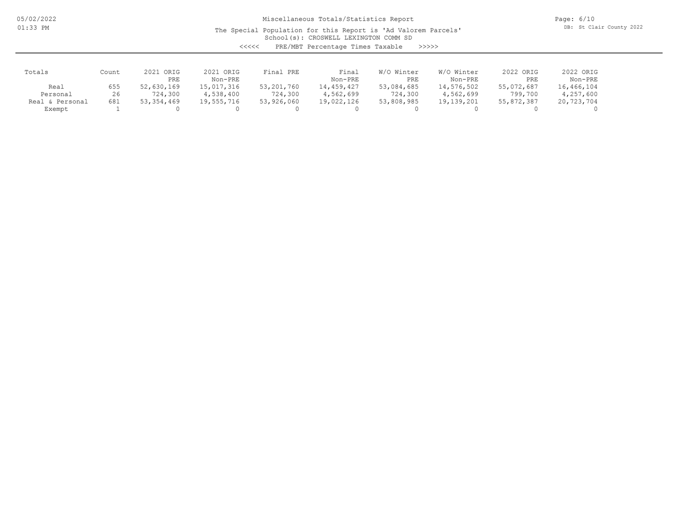The Special Population for this Report is 'Ad Valorem Parcels'

School(s): CROSWELL LEXINGTON COMM SD

<<<<< PRE/MBT Percentage Times Taxable >>>>>

| Totals          | Count | ORIG<br>2021<br>PRE | 2021 ORIG<br>Non-PRE | Final PRE    | Final<br>Non-PRE | Winter<br>W/O<br>PRE | W/O Winter<br>Non-PRE | 2022 ORIG<br>PRE | 2022 ORIG<br>Non-PRE |
|-----------------|-------|---------------------|----------------------|--------------|------------------|----------------------|-----------------------|------------------|----------------------|
| Real            | 655   | 52,630,169          | 15,017,316           | 53, 201, 760 | 14,459,427       | 53,084,685           | 14,576,502            | 55,072,687       | 16,466,104           |
| Personal        | 26    | 724,300             | 4,538,400            | 724,300      | 4,562,699        | 724,300              | 4,562,699             | 799,700          | 4,257,600            |
| Real & Personal | 681   | 53, 354, 469        | 19,555,716           | 53,926,060   | 19,022,126       | 53,808,985           | 19,139,201            | 55,872,387       | 20,723,704           |
| Exempt          |       |                     |                      |              |                  |                      |                       |                  |                      |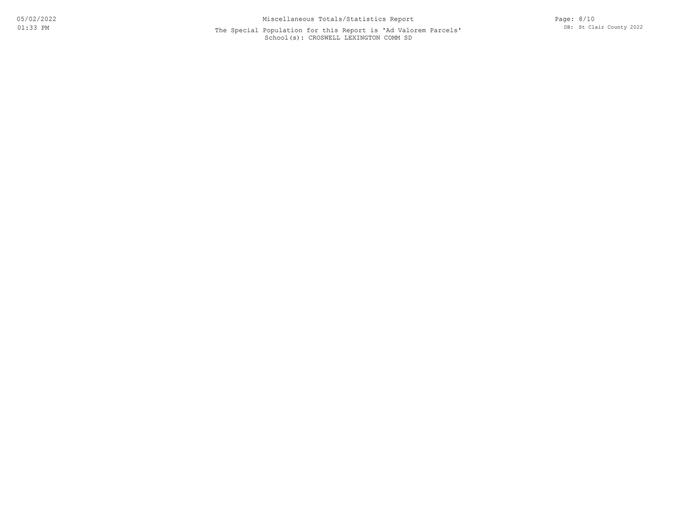#### School(s): CROSWELL LEXINGTON COMM SD The Special Population for this Report is 'Ad Valorem Parcels'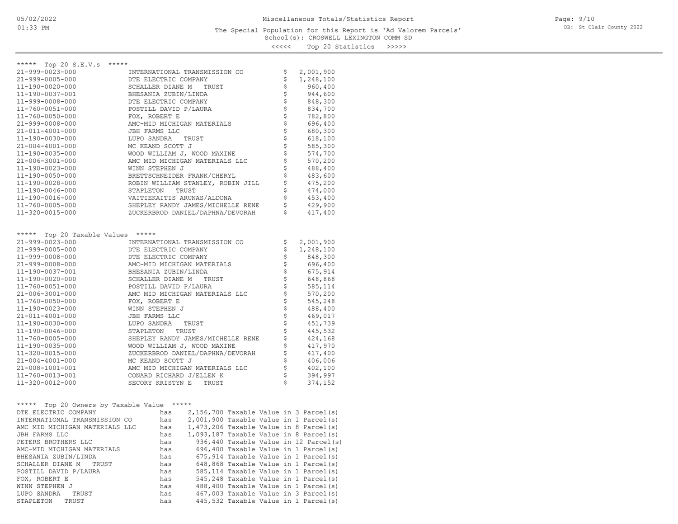### School(s): CROSWELL LEXINGTON COMM SD The Special Population for this Report is 'Ad Valorem Parcels'

Page: 9/10 DB: St Clair County 2022

<<<<< Top 20 Statistics >>>>>

| ***** Top 20 S.E.V.s *****                 |                                                 |               |           |
|--------------------------------------------|-------------------------------------------------|---------------|-----------|
| 21-999-0023-000                            | INTERNATIONAL TRANSMISSION CO                   | \$            | 2,001,900 |
| 21-999-0005-000                            | DTE ELECTRIC COMPANY                            | \$            | 1,248,100 |
| 11-190-0020-000                            | SCHALLER DIANE M<br>TRUST                       | \$            | 960,400   |
| 11-190-0037-001                            | BHESANIA ZUBIN/LINDA                            | \$            | 944,600   |
| 11-999-0008-000                            | DTE ELECTRIC COMPANY                            | \$            | 848,300   |
| 11-760-0051-000                            | POSTILL DAVID P/LAURA                           |               | 834,700   |
| 11-760-0050-000                            | FOX, ROBERT E                                   | \$            | 782,800   |
| 21-999-0008-000                            | AMC-MID MICHIGAN MATERIALS                      |               | 696,400   |
| 21-011-4001-000                            | JBH FARMS LLC                                   | \$            | 680,300   |
| 11-190-0030-000                            | LUPO SANDRA<br>TRUST                            | \$            | 618,100   |
| $21 - 004 - 4001 - 000$                    | MC KEAND SCOTT J                                |               | 585,300   |
| 11-190-0035-000                            | WOOD WILLIAM J, WOOD MAXINE                     | \$<br>\$      | 574,700   |
| 21-006-3001-000                            | AMC MID MICHIGAN MATERIALS LLC                  | $\frac{1}{2}$ | 570,200   |
| 11-190-0023-000                            | WINN STEPHEN J                                  |               | 488,400   |
| 11-190-0050-000                            | BRETTSCHNEIDER FRANK/CHERYL                     | \$            | 483,600   |
| 11-190-0028-000                            | ROBIN WILLIAM STANLEY, ROBIN JILL               | \$            | 475,200   |
| 11-190-0046-000                            | STAPLETON TRUST                                 | \$<br>\$      | 474,000   |
| 11-190-0016-000                            | VAITIEKAITIS ARUNAS/ALDONA                      | \$            | 453,400   |
| 11-760-0005-000                            | SHEPLEY RANDY JAMES/MICHELLE RENE               | \$            | 429,900   |
| 11-320-0015-000                            | ZUCKERBROD DANIEL/DAPHNA/DEVORAH                |               | 417,400   |
|                                            |                                                 |               |           |
| Top 20 Taxable Values *****<br>*****       |                                                 |               |           |
| 21-999-0023-000                            | INTERNATIONAL TRANSMISSION CO                   | \$            | 2,001,900 |
| 21-999-0005-000                            | DTE ELECTRIC COMPANY                            | \$            | 1,248,100 |
| 11-999-0008-000                            | DTE ELECTRIC COMPANY                            | \$            | 848,300   |
| 21-999-0008-000                            | AMC-MID MICHIGAN MATERIALS                      | \$            | 696,400   |
| 11-190-0037-001                            | BHESANIA ZUBIN/LINDA                            |               | 675,914   |
| 11-190-0020-000                            | SCHALLER DIANE M<br>TRUST                       | \$            | 648,868   |
| 11-760-0051-000                            | POSTILL DAVID P/LAURA                           | \$            | 585,114   |
| 21-006-3001-000                            | AMC MID MICHIGAN MATERIALS LLC                  | \$            | 570,200   |
| 11-760-0050-000                            | FOX, ROBERT E                                   | \$            | 545,248   |
| 11-190-0023-000                            | WINN STEPHEN J                                  | \$\$\$        | 488,400   |
| 21-011-4001-000                            | JBH FARMS LLC                                   |               | 469,017   |
| 11-190-0030-000                            | LUPO SANDRA<br>TRUST                            |               | 451,739   |
| 11-190-0046-000                            | STAPLETON<br>TRUST                              | \$            | 445,532   |
| 11-760-0005-000                            | SHEPLEY RANDY JAMES/MICHELLE RENE               | \$            | 424,168   |
| 11-190-0035-000                            | WOOD WILLIAM J, WOOD MAXINE                     | \$            | 417,970   |
| 11-320-0015-000                            | ZUCKERBROD DANIEL/DAPHNA/DEVORAH                | \$            | 417,400   |
| $21 - 004 - 4001 - 000$                    | MC KEAND SCOTT J                                | \$            | 406,006   |
| 21-008-1001-001                            | AMC MID MICHIGAN MATERIALS LLC                  | \$            | 402,100   |
| 11-760-0013-001                            | CONARD RICHARD J/ELLEN K                        | \$            | 394,997   |
| 11-320-0012-000                            | SECORY KRISTYN E<br>TRUST                       | Ś             | 374,152   |
|                                            |                                                 |               |           |
| ***** Top 20 Owners by Taxable Value ***** |                                                 |               |           |
| DTE ELECTRIC COMPANY                       | $2,156,700$ Taxable Value in 3 Parcel(s)<br>has |               |           |
| INTERNATIONAL TRANSMISSION CO              | 2,001,900 Taxable Value in 1 Parcel(s)<br>has   |               |           |
| AMC MID MICHIGAN MATERIALS LLC             | $1,473,206$ Taxable Value in 8 Parcel(s)<br>has |               |           |
| JBH FARMS LLC                              | $1,093,187$ Taxable Value in 8 Parcel(s)<br>has |               |           |
| PETERS BROTHERS LLC                        | 936,440 Taxable Value in 12 Parcel(s)<br>has    |               |           |
| AMC-MID MICHIGAN MATERIALS                 | 696,400 Taxable Value in 1 Parcel(s)<br>has     |               |           |
| BHESANIA ZUBIN/LINDA                       | 675,914 Taxable Value in 1 Parcel(s)<br>has     |               |           |
| SCHALLER DIANE M<br>TRUST                  | 648,868 Taxable Value in 1 Parcel(s)<br>has     |               |           |
| POSTILL DAVID P/LAURA                      | 585,114 Taxable Value in 1 Parcel(s)<br>has     |               |           |
| FOX, ROBERT E                              | 545,248 Taxable Value in 1 Parcel(s)<br>has     |               |           |

STAPLETON TRUST has 445,532 Taxable Value in 1 Parcel(s) LUPO SANDRA TRUST has 467,003 Taxable Value in 3 Parcel(s) WINN STEPHEN J bas 488,400 Taxable Value in 1 Parcel(s)